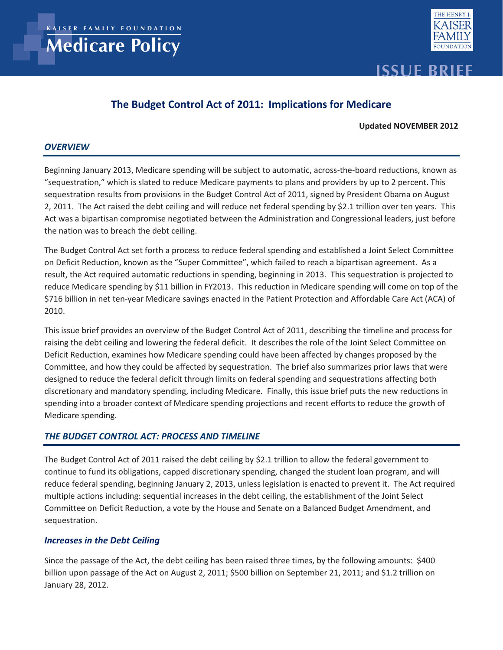**KA I S ER FAM I LY FOUNDAT ION**

**Medicare Policy**



# **Issue Brief**

## **The Budget Control Act of 2011: Implications for Medicare**

#### **Updated NOVEMBER 2012**

#### *OVERVIEW*

Beginning January 2013, Medicare spending will be subject to automatic, across-the-board reductions, known as "sequestration," which is slated to reduce Medicare payments to plans and providers by up to 2 percent. This sequestration results from provisions in the Budget Control Act of 2011, signed by President Obama on August 2, 2011. The Act raised the debt ceiling and will reduce net federal spending by \$2.1 trillion over ten years. This Act was a bipartisan compromise negotiated between the Administration and Congressional leaders, just before the nation was to breach the debt ceiling.

The Budget Control Act set forth a process to reduce federal spending and established a Joint Select Committee on Deficit Reduction, known as the "Super Committee", which failed to reach a bipartisan agreement. As a result, the Act required automatic reductions in spending, beginning in 2013. This sequestration is projected to reduce Medicare spending by \$11 billion in FY2013. This reduction in Medicare spending will come on top of the \$716 billion in net ten-year Medicare savings enacted in the Patient Protection and Affordable Care Act (ACA) of 2010.

This issue brief provides an overview of the Budget Control Act of 2011, describing the timeline and process for raising the debt ceiling and lowering the federal deficit. It describes the role of the Joint Select Committee on Deficit Reduction, examines how Medicare spending could have been affected by changes proposed by the Committee, and how they could be affected by sequestration. The brief also summarizes prior laws that were designed to reduce the federal deficit through limits on federal spending and sequestrations affecting both discretionary and mandatory spending, including Medicare. Finally, this issue brief puts the new reductions in spending into a broader context of Medicare spending projections and recent efforts to reduce the growth of Medicare spending.

#### *THE BUDGET CONTROL ACT: PROCESS AND TIMELINE*

The Budget Control Act of 2011 raised the debt ceiling by \$2.1 trillion to allow the federal government to continue to fund its obligations, capped discretionary spending, changed the student loan program, and will reduce federal spending, beginning January 2, 2013, unless legislation is enacted to prevent it. The Act required multiple actions including: sequential increases in the debt ceiling, the establishment of the Joint Select Committee on Deficit Reduction, a vote by the House and Senate on a Balanced Budget Amendment, and sequestration.

#### *Increases in the Debt Ceiling*

Since the passage of the Act, the debt ceiling has been raised three times, by the following amounts: \$400 billion upon passage of the Act on August 2, 2011; \$500 billion on September 21, 2011; and \$1.2 trillion on January 28, 2012.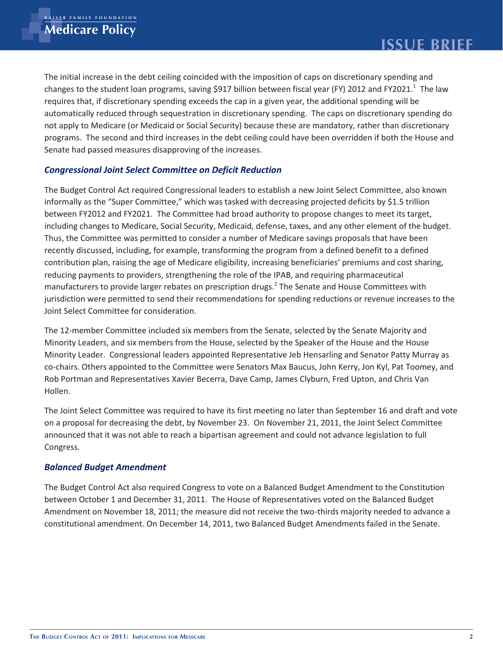The initial increase in the debt ceiling coincided with the imposition of caps on discretionary spending and changes to the student loan programs, saving \$917 billion between fiscal year (FY) 2012 and FY2021.<sup>1</sup> The law requires that, if discretionary spending exceeds the cap in a given year, the additional spending will be automatically reduced through sequestration in discretionary spending. The caps on discretionary spending do not apply to Medicare (or Medicaid or Social Security) because these are mandatory, rather than discretionary programs. The second and third increases in the debt ceiling could have been overridden if both the House and Senate had passed measures disapproving of the increases.

## *Congressional Joint Select Committee on Deficit Reduction*

The Budget Control Act required Congressional leaders to establish a new Joint Select Committee, also known informally as the "Super Committee," which was tasked with decreasing projected deficits by \$1.5 trillion between FY2012 and FY2021. The Committee had broad authority to propose changes to meet its target, including changes to Medicare, Social Security, Medicaid, defense, taxes, and any other element of the budget. Thus, the Committee was permitted to consider a number of Medicare savings proposals that have been recently discussed, including, for example, transforming the program from a defined benefit to a defined contribution plan, raising the age of Medicare eligibility, increasing beneficiaries' premiums and cost sharing, reducing payments to providers, strengthening the role of the IPAB, and requiring pharmaceutical manufacturers to provide larger rebates on prescription drugs.<sup>2</sup> The Senate and House Committees with jurisdiction were permitted to send their recommendations for spending reductions or revenue increases to the Joint Select Committee for consideration.

The 12-member Committee included six members from the Senate, selected by the Senate Majority and Minority Leaders, and six members from the House, selected by the Speaker of the House and the House Minority Leader. Congressional leaders appointed Representative Jeb Hensarling and Senator Patty Murray as co-chairs. Others appointed to the Committee were Senators Max Baucus, John Kerry, Jon Kyl, Pat Toomey, and Rob Portman and Representatives Xavier Becerra, Dave Camp, James Clyburn, Fred Upton, and Chris Van Hollen.

The Joint Select Committee was required to have its first meeting no later than September 16 and draft and vote on a proposal for decreasing the debt, by November 23. On November 21, 2011, the Joint Select Committee announced that it was not able to reach a bipartisan agreement and could not advance legislation to full Congress.

#### *Balanced Budget Amendment*

The Budget Control Act also required Congress to vote on a Balanced Budget Amendment to the Constitution between October 1 and December 31, 2011. The House of Representatives voted on the Balanced Budget Amendment on November 18, 2011; the measure did not receive the two-thirds majority needed to advance a constitutional amendment. On December 14, 2011, two Balanced Budget Amendments failed in the Senate.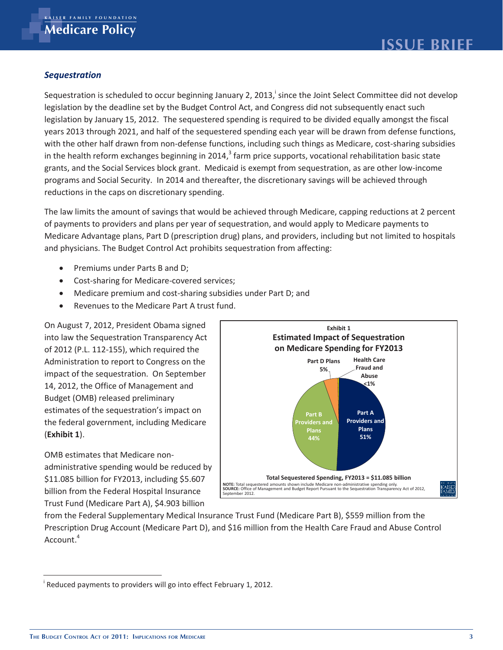## *Sequestration*

Sequestration is scheduled to occur beginning January 2, 2013,<sup>i</sup> since the Joint Select Committee did not develop legislation by the deadline set by the Budget Control Act, and Congress did not subsequently enact such legislation by January 15, 2012. The sequestered spending is required to be divided equally amongst the fiscal years 2013 through 2021, and half of the sequestered spending each year will be drawn from defense functions, with the other half drawn from non-defense functions, including such things as Medicare, cost-sharing subsidies in the health reform exchanges beginning in 2014,<sup>3</sup> farm price supports, vocational rehabilitation basic state grants, and the Social Services block grant. Medicaid is exempt from sequestration, as are other low-income programs and Social Security. In 2014 and thereafter, the discretionary savings will be achieved through reductions in the caps on discretionary spending.

The law limits the amount of savings that would be achieved through Medicare, capping reductions at 2 percent of payments to providers and plans per year of sequestration, and would apply to Medicare payments to Medicare Advantage plans, Part D (prescription drug) plans, and providers, including but not limited to hospitals and physicians. The Budget Control Act prohibits sequestration from affecting:

- Premiums under Parts B and D;
- Cost-sharing for Medicare-covered services;
- Medicare premium and cost-sharing subsidies under Part D; and
- Revenues to the Medicare Part A trust fund.

On August 7, 2012, President Obama signed into law the Sequestration Transparency Act of 2012 (P.L. 112-155), which required the Administration to report to Congress on the impact of the sequestration. On September 14, 2012, the Office of Management and Budget (OMB) released preliminary estimates of the sequestration's impact on the federal government, including Medicare (**Exhibit 1**).

OMB estimates that Medicare nonadministrative spending would be reduced by \$11.085 billion for FY2013, including \$5.607 billion from the Federal Hospital Insurance Trust Fund (Medicare Part A), \$4.903 billion



from the Federal Supplementary Medical Insurance Trust Fund (Medicare Part B), \$559 million from the Prescription Drug Account (Medicare Part D), and \$16 million from the Health Care Fraud and Abuse Control Account.<sup>4</sup>

 $\overline{a}$ 

<sup>&</sup>lt;sup>i</sup> Reduced payments to providers will go into effect February 1, 2012.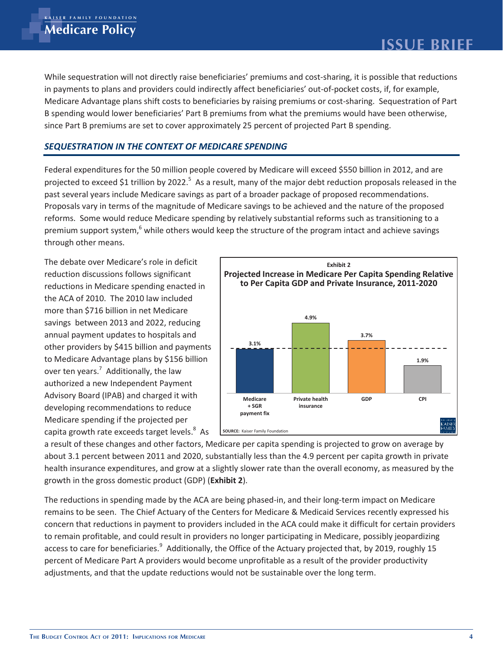While sequestration will not directly raise beneficiaries' premiums and cost-sharing, it is possible that reductions in payments to plans and providers could indirectly affect beneficiaries' out-of-pocket costs, if, for example, Medicare Advantage plans shift costs to beneficiaries by raising premiums or cost-sharing. Sequestration of Part B spending would lower beneficiaries' Part B premiums from what the premiums would have been otherwise, since Part B premiums are set to cover approximately 25 percent of projected Part B spending.

## *SEQUESTRATION IN THE CONTEXT OF MEDICARE SPENDING*

Federal expenditures for the 50 million people covered by Medicare will exceed \$550 billion in 2012, and are projected to exceed \$1 trillion by 2022.<sup>5</sup> As a result, many of the major debt reduction proposals released in the past several years include Medicare savings as part of a broader package of proposed recommendations. Proposals vary in terms of the magnitude of Medicare savings to be achieved and the nature of the proposed reforms. Some would reduce Medicare spending by relatively substantial reforms such as transitioning to a premium support system,<sup>6</sup> while others would keep the structure of the program intact and achieve savings through other means.

The debate over Medicare's role in deficit reduction discussions follows significant reductions in Medicare spending enacted in the ACA of 2010. The 2010 law included more than \$716 billion in net Medicare savings between 2013 and 2022, reducing annual payment updates to hospitals and other providers by \$415 billion and payments to Medicare Advantage plans by \$156 billion over ten years.<sup>7</sup> Additionally, the law authorized a new Independent Payment Advisory Board (IPAB) and charged it with developing recommendations to reduce Medicare spending if the projected per capita growth rate exceeds target levels. $8$  As



a result of these changes and other factors, Medicare per capita spending is projected to grow on average by about 3.1 percent between 2011 and 2020, substantially less than the 4.9 percent per capita growth in private health insurance expenditures, and grow at a slightly slower rate than the overall economy, as measured by the growth in the gross domestic product (GDP) (**Exhibit 2**).

The reductions in spending made by the ACA are being phased-in, and their long-term impact on Medicare remains to be seen. The Chief Actuary of the Centers for Medicare & Medicaid Services recently expressed his concern that reductions in payment to providers included in the ACA could make it difficult for certain providers to remain profitable, and could result in providers no longer participating in Medicare, possibly jeopardizing access to care for beneficiaries.<sup>9</sup> Additionally, the Office of the Actuary projected that, by 2019, roughly 15 percent of Medicare Part A providers would become unprofitable as a result of the provider productivity adjustments, and that the update reductions would not be sustainable over the long term.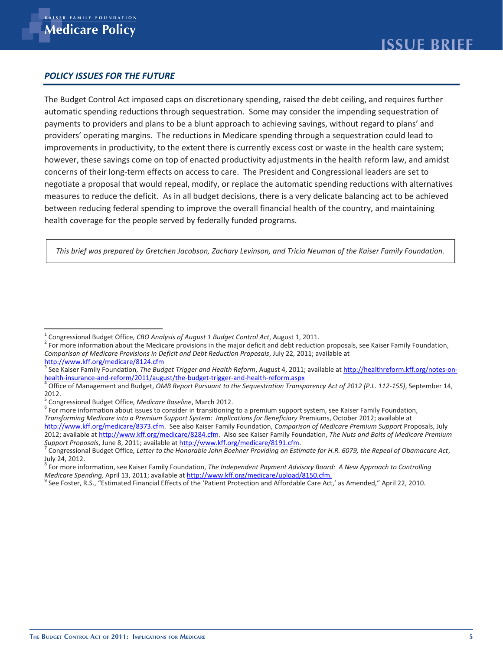#### *POLICY ISSUES FOR THE FUTURE*

The Budget Control Act imposed caps on discretionary spending, raised the debt ceiling, and requires further automatic spending reductions through sequestration. Some may consider the impending sequestration of payments to providers and plans to be a blunt approach to achieving savings, without regard to plans' and providers' operating margins. The reductions in Medicare spending through a sequestration could lead to improvements in productivity, to the extent there is currently excess cost or waste in the health care system; however, these savings come on top of enacted productivity adjustments in the health reform law, and amidst concerns of their long-term effects on access to care. The President and Congressional leaders are set to negotiate a proposal that would repeal, modify, or replace the automatic spending reductions with alternatives measures to reduce the deficit. As in all budget decisions, there is a very delicate balancing act to be achieved between reducing federal spending to improve the overall financial health of the country, and maintaining health coverage for the people served by federally funded programs.

*This brief was prepared by Gretchen Jacobson, Zachary Levinson, and Tricia Neuman of the Kaiser Family Foundation.*

For more information about issues to consider in transitioning to a premium support system, see Kaiser Family Foundation,

*Transforming Medicare into a Premium Support System: Implications for Beneficiary* Premiums, October 2012; available at

http://www.kff.org/medicare/8373.cfm. See also Kaiser Family Foundation, *Comparison of Medicare Premium Support* Proposals, July 2012; available at http://www.kff.org/medicare/8284.cfm. Also see Kaiser Family Foundation, *The Nuts and Bolts of Medicare Premium Support Proposals*, June 8, 2011; available at http://www.kff.org/medicare/8191.cfm. 7

 $\overline{\phantom{a}}$ 1 Congressional Budget Office, *CBO Analysis of August 1 Budget Control Act*, August 1, 2011. 2

 $2$  For more information about the Medicare provisions in the major deficit and debt reduction proposals, see Kaiser Family Foundation, *Comparison of Medicare Provisions in Deficit and Debt Reduction Proposals*, July 22, 2011; available at http://www.kff.org/medicare/8124.cfm <sup>3</sup>

See Kaiser Family Foundation, *The Budget Trigger and Health Reform*, August 4, 2011; available at http://healthreform.kff.org/notes-onhealth-insurance-and-reform/2011/august/the-budget-trigger-and-health-reform.aspx 4

Office of Management and Budget, *OMB Report Pursuant to the Sequestration Transparency Act of 2012 (P.L. 112-155)*, September 14, 2012.

Congressional Budget Office, *Medicare Baseline*, March 2012. 6

Congressional Budget Office, *Letter to the Honorable John Boehner Providing an Estimate for H.R. 6079, the Repeal of Obamacare Act*, July 24, 2012.

<sup>8</sup> For more information, see Kaiser Family Foundation, *The Independent Payment Advisory Board: A New Approach to Controlling*  Medicare Spending, April 13, 2011; available at http://www.kff.org/medicare/upload/8150.cfm.<br><sup>9</sup> See Foster, R.S., "Estimated Financial Effects of the 'Patient Protection and Affordable Care Act,' as Amended," April 22, 20